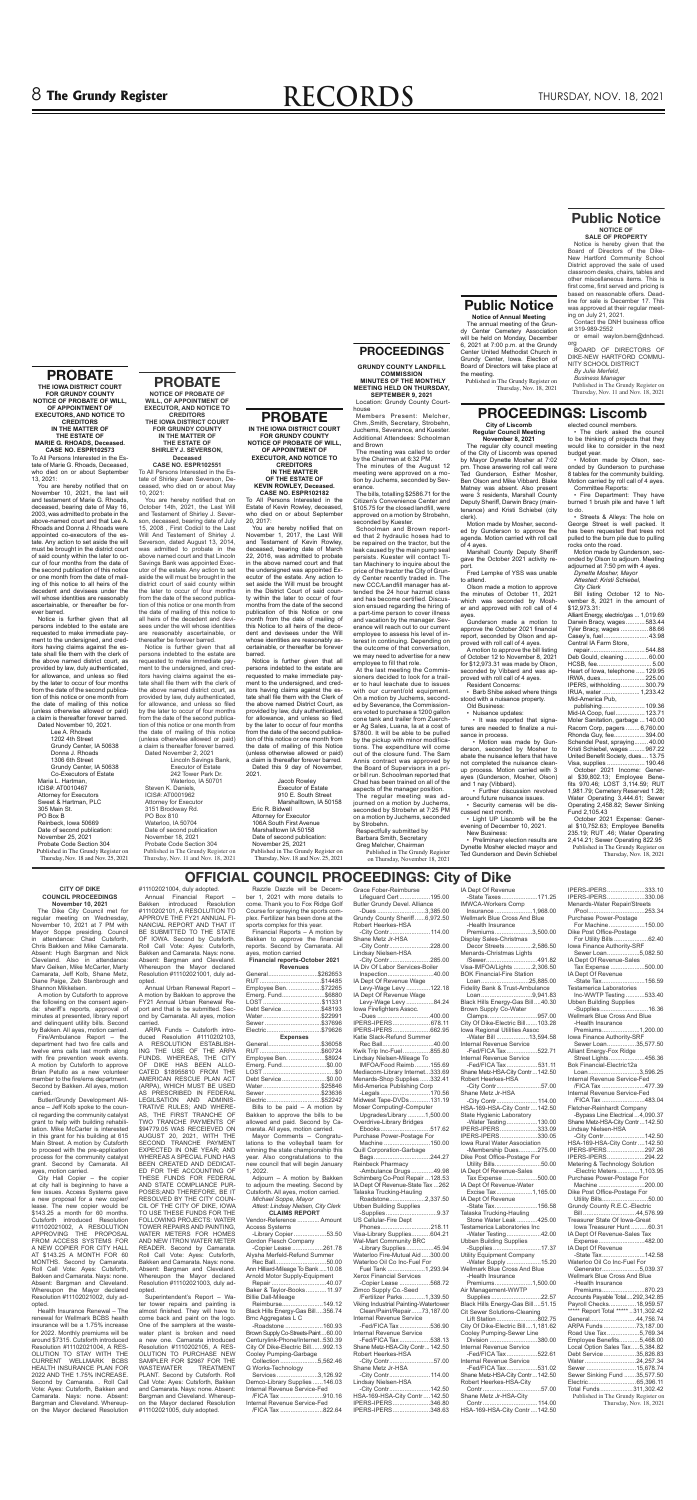# 8 **The Grundy Register RECORDS** THURSDAY, NOV. 18, 2021

**Public Notice Notice of Annual Meeting** The annual meeting of the Grundy Center Cemetery Association will be held on Monday, December 6, 2021 at 7:00 p.m. at the Grundy Center United Methodist Church in Grundy Center, Iowa. Election of Board of Directors will take place at

The Dike City Council met for regular meeting on Wednesday, November 10, 2021 at 7 PM with Mayor Soppe presiding. Council in attendance: Chad Cutsforth, Chris Bakken and Mike Camarata. Absent: Hugh Bargman and Nick Cleveland. Also in attendance: Marv Geiken, Mike McCarter, Marty Camarata, Jeff Kolb, Shane Metz, Diane Paige, Zeb Stanbrough and the meeting.

Published in The Grundy Register on

Thursday, Nov. 18, 2021

#### **CITY OF DIKE COUNCIL PROCEEDINGS November 10, 2021**

Shannon Mikkelsen. A motion by Cutsforth to approve the following on the consent agenda: sheriff's reports, approval of minutes at presented, library report and delinquent utility bills. Second by Bakken. All ayes, motion carried.

Fire/Ambulance Report – the department had two fire calls and twelve ems calls last month along with fire prevention week events. A motion by Cutsforth to approve Brian Petullo as a new volunteer member to the fire/ems department. Second by Bakken. All ayes, motion carried.

Butler/Grundy Development Alliance – Jeff Kolb spoke to the council regarding the community catalyst grant to help with building rehabilitation. Mike McCarter is interested in this grant for his building at 615 Main Street. A motion by Cutsforth to proceed with the pre-application process for the community catalyst grant. Second by Camarata. All ayes, motion carried.

City Hall Copier – the copier at city hall is beginning to have a few issues. Access Systems gave a new proposal for a new copier/ lease. The new copier would be \$143.25 a month for 60 months. Cutsforth introduced Resolution #11102021002, A RESOLUTION APPROVING THE PROPOSAL FROM ACCESS SYSTEMS FOR A NEW COPIER FOR CITY HALL AT \$143.25 A MONTH FOR 60 MONTHS. Second by Camarata. Roll Call Vote: Ayes: Cutsforth, Bakken and Camarata. Nays: none. Absent: Bargman and Cleveland. Whereupon the Mayor declared Resolution #11102021002, duly adopted.

Health Insurance Renewal – The renewal for Wellmark BCBS health insurance will be a 1.75% increase for 2022. Monthly premiums will be around \$7315. Cutsforth introduced Resolution #11102021004, A RES-OLUTION TO STAY WITH THE CURRENT WELLMARK BCBS HEALTH INSURANCE PLAN FOR 2022 AND THE 1.75% INCREASE. Second by Camarata. . Roll Call Vote: Ayes: Cutsforth, Bakken and Camarata. Nays: none. Absent: Bargman and Cleveland. Whereupon the Mayor declared Resolution

#11102021004, duly adopted. Annual Financial Report –<br>akken introduced Resolution Bakken introduced #1110202101, A RESOLUTION TO APPROVE THE FY21 ANNUAL FI-NANCIAL REPORT AND THAT IT BE SUBMITTED TO THE STATE OF IOWA. Second by Cutsforth. Roll Call Vote: Ayes: Cutsforth, Bakken and Camarata. Nays: none. Absent: Bargman and Cleveland. Whereupon the Mayor declared Resolution #11102021001, duly adopted.

 Annual Urban Renewal Report – A motion by Bakken to approve the FY21 Annual Urban Renewal Report and that is be submitted. Second by Camarata. All ayes, motion carried.

> Services ........................3,126.92 Demco-Library Supplies ......146.03 Internal Revenue Service-Fed

 ARPA Funds – Cutsforth introduced Resolution #1110202103, A RESOLUTION ESTABLISH-ING THE USE OF THE ARPA FUNDS. WHEREAS, THE CITY OF DIKE HAS BEEN ALLO-CATED \$18955810 FROM THE AMERICAN RESCUE PLAN ACT (ARPA), WHICH MUST BE USED AS PRESCRIBED IN FEDERAL LEGILSATION AND ADMINIS-TRATIVE RULES; AND WHERE-AS, THE FIRST TRANCHE OF TWO TRANCHE PAYMENTS OF \$94779.05 WAS RECEIEVED ON AUGUST 20, 2021, WITH THE SECOND TRANCHE PAYMENT EXPECTED IN ONE YEAR; AND WHEREAS A SPECIAL FUND HAS BEEN CREATED AND DEDICAT-ED FOR THE ACCOUNTING OF THESE FUNDS FOR FEDERAL AND STATE COMPLIANCE PUR-POSES;AND THEREFORE, BE IT RESOLVED BY THE CITY COUN-CIL OF THE CITY OF DIKE, IOWA TO USE THESE FUNDS FOR THE FOLLOWING PROJECTS: WATER TOWER REPAIRS AND PAINTING, WATER METERS FOR HOMES AND NEW ITRON WATER METER READER. Second by Camarata. Roll Call Vote: Ayes: Cutsforth, Bakken and Camarata. Nays: none. Absent: Bargman and Cleveland. Whereupon the Mayor declared Resolution #11102021003, duly adopted.

 Superintendent's Report – Water tower repairs and painting is almost finished. They will have to come back and paint on the logo. One of the samplers at the wastewater plant is broken and need a new one. Camarata introduced Resolution #1110202105, A RES-OLUTION TO PURCHASE NEW SAMPLER FOR \$2967 FOR THE WASTEWATER TREATMENT PLANT. Second by Cutsforth. Roll Call Vote: Ayes: Cutsforth, Bakken and Camarata. Nays: none. Absent: Bargman and Cleveland. Whereupon the Mayor declared Resolution #11102021005, duly adopted.

Razzle Dazzle will be December 1, 2021 with more details to come. Thank you to Fox Ridge Golf Course for spraying the sports complex. Fertilizer has been done at the sports complex for this year. Financial Reports – A motion by

Bakken to approve the financial reports. Second by Camarata. All ayes, motion carried **Financial reports-October 2021**

| <b>Revenues</b>       |     |  |  |  |  |  |
|-----------------------|-----|--|--|--|--|--|
| General\$262653       |     |  |  |  |  |  |
|                       |     |  |  |  |  |  |
| Employee Ben. \$72265 |     |  |  |  |  |  |
| Emerg. Fund\$6880     |     |  |  |  |  |  |
| LOST\$11331           |     |  |  |  |  |  |
| Debt Service\$48193   |     |  |  |  |  |  |
| Water\$22991          |     |  |  |  |  |  |
| Sewer \$37696         |     |  |  |  |  |  |
| Electric\$79626       |     |  |  |  |  |  |
| <b>Expenses</b>       |     |  |  |  |  |  |
| General\$36058        |     |  |  |  |  |  |
|                       |     |  |  |  |  |  |
| Employee Ben. \$8924  |     |  |  |  |  |  |
| Emerg. Fund\$0.00     |     |  |  |  |  |  |
| LOST                  | \$0 |  |  |  |  |  |

LOST ..........................................\$0 Debt Service ..........................\$0.00 Water ..................................\$25846 Sewer .................................\$23636 Electric ................................\$52242 Bills to be paid – A motion by

Bakken to approve the bills to be allowed and paid. Second by Camarata. All ayes, motion carried.

Mayor Comments – Congratulations to the volleyball team for winning the state championship this year. Also congratulations to the new council that will begin January 1, 2022.

**OFFICIAL COUNCIL PROCEEDINGS: City of Dike** IA Dept Of Revenue -State Taxes .....................171.25 IMWCA-Workers Comp Insurance ......................1,968.00 Wellmark Blue Cross And Blue -Health Insurance Premiums ......................3,500.00 Display Sales-Christmas Decor Streets ................2,586.50 Menards-Christmas Lights /Sewer ..............................491.82 Visa-IMFOA/Lights ...........2,306.50 BOK Financial-Fire Station Loan ............................25,885.00 Fidelity Bank & Trust-Ambulance Loan ..............................9,941.83 Black Hills Energy-Gas Bill ....40.30 Brown Supply Co-Water Clamps .............................957.00 City Of Dike-Electric Bill .......103.28 Iowa Regional Utilities Assoc -Water Bill ...................13,594.58 Internal Revenue Service -Fed/FICA Tax ..................522.71 Internal Revenue Service -Fed/FICA Tax ..................531.11 Shane Metz-HSA-City Contr ...142.50 Robert Heerkes-HSA -City Contr ..........................57.00 Shane Metz Jr-HSA -City Contr ........................114.00 HSA-169-HSA-City Contr ....142.50 State Hygienic Laboratory -Water Testing ....................130.00<br>ERS-IPERS .......................333.09 IPERS-IPERS .......................333.09<br>IPERS-IPERS ......................330.05 **IPERS-IPERS................** Iowa Rural Water Association -Membership Dues...........275.00 Dike Post Office-Postage For Utility Bills ...........................50.00 IA Dept Of Revenue-Sales Tax Expense ....................500.00 IA Dept Of Revenue-Water Excise Tax .....................1,165.00 IA Dept Of Revenue -State Tax .........................156.58 Talaska Trucking-Hauling Stone Water Leak ............425.00 Testamerica Laboratories Inc -Water Testing ....................42.00 Ubben Building Supplies -Supplies ............................17.37 Utility Equipment Company -Water Supply ....................15.20 Wellmark Blue Cross And Blue -Health Insurance Premiums ......................1,500.00 Air Management-WWTP Supplies .............................22.57 Black Hills Energy-Gas Bill ....51.15 Cit Sewer Solutions-Cleaning Lift Station ........................802.75 City Of Dike-Electric Bill ....1,181.62 Cooley Pumping-Sewer Line Division ............................380.00 Internal Revenue Service -Fed/FICA Tax ..................522.61 Internal Revenue Service

Adjourn – A motion by Bakken to adjourn the meeting. Second by Cutsforth. All ayes, motion carried.  *Michael Soppe, Mayor Attest: Lindsay Nielsen, City Clerk*

| <b>CLAIMS REPORT</b>                |
|-------------------------------------|
| Vendor-Reference  Amount            |
| <b>Access Systems</b>               |
| -Library Copier53.50                |
| Gordon Flesch Company               |
| -Copier Lease 261.78                |
| Alysha Merfeld-Refund Summer        |
| Rec Ball50.00                       |
| Ann Hilliard-Mileage To Bank 10.08  |
| Arnold Motor Supply-Equipment       |
| Repair 40.07                        |
| Baker & Taylor-Books 11.97          |
| <b>Billie Dall-Mileage</b>          |
| Reimburse149.12                     |
| Black Hills Energy-Gas Bill356.74   |
| Bmc Aggregates L C                  |
| -Roadstone 160.93                   |
| Brown Supply Co-Streets-Paint 60.00 |

Brown Supply Co-Streets-Paint ...60.00 Centurylink-Phone/Internet ..530.39 City Of Dike-Electric Bill.......992.13 Cooley Pumping-Garbage Collection ......................5,562.46

G Works-Technology

 /FICA Tax .........................910.16 Internal Revenue Service-Fed /FICA Tax .........................822.64 Grace Fober-Reimburse Lifeguard Cert ..................195.00

You are hereby notified that on November 1, 2017, the Last Will and Testament of Kevin Rowley, deceased, bearing date of March 22, 2016, was admitted to probate in the above named court and that the undersigned was appointed Executor of the estate. Any action to set aside the Will must be brought in the District Court of said county within the later to occur of four months from the date of the second publication of this Notice or one month from the date of mailing of this Notice to all heirs of the decedent and devisees under the Will whose identities are reasonably ascertainable, or thereafter be forever barred.

> Butler Grundy Devel. Alliance -Dues ............................3,385.00 Grundy County Sheriff ......6,972.50 Robert Heerkes-HSA -City Contr ........................114.00 Shane Metz Jr-HSA -City Contr ........................228.00 Lindsay Nielsen-HSA -City Contr ........................285.00 IA Div Of Labor Services-Boiler Inspection...........................40.00 IA Dept Of Revenue Wage Levy-Wage Levy ..............122.18 IA Dept Of Revenue Wage Levy-Wage Levy ................84.24 Iowa Firefighters Assoc. -Dues ...............................400.00 IPERS-IPERS ......................678.11 IPERS-IPERS ......................662.95 Katie Slack-Refund Summer Rec Ball..............................40.00 Kwik Trip Inc-Fuel ................855.80 Lindsay Nielsen-Mileage To IMFOA/Food Reimb .........155.69 Mediacom-Library Internet...333.69 Menards-Shop Supplies ......332.41 Mid-America Publishing Corp -Legals .............................170.56 Midwest Tape-DVDs ............131.19 Moser Computing!-Computer Upgrades/Library ..........1,500.00 Overdrive-Library Bridges Ebooks .............................517.62 Purchase Power-Postage For Machine ...........................150.00 Quill Corporation-Garbage Bags .................................244.27 Reinbeck Pharmacy -Ambulance Drugs .............49.98 Schimberg Co-Pool Repair ...128.53 IA Dept Of Revenue-State Tax ...262 Talaska Trucking-Hauling Roadstone........................2,337.50 Ubben Building Supplies US Cellular-Fire Dept Wal-Mart Community BRC Waterloo Oil Co Inc-Fuel For Xerox Financial Services Zimco Supply Co.-Seed Internal Revenue Service Internal Revenue Service Robert Heerkes-HSA

To All Persons Interested in the Estate of Shirley Jean Severson, Deceased, who died on or about May  $10, 2021$ 

You are hereby notified that on October 14th, 2021, the Last Will and Testament of Shirley J. Severson, deceased, bearing date of July 15, 2008 , First Codicil to the Last Will And Testement of Shirley J. Severson, dated August 13, 2014, was admitted to probate in the above named court and that Lincoln Savings Bank was appointed Executor of the estate. Any action to set aside the will must be brought in the district court of said county within the later to occur of four months from the date of the second publication of this notice or one month from the date of mailing of this notice to all heirs of the decedent and devisees under the will whose identities are reasonably ascertainable, or thereafter be forever barred.

> -Supplies ..............................9.37 Phones .............................218.11 Visa-Library Supplies ...........604.21 -Library Supplies ................45.94 Waterloo Fire-Mutual Aid .....300.00 Fuel Tank ......................1,293.94 -Copier Lease ..................568.72 /Fertilizer Parks .............1,339.50 Viking Industrial Painting-Watertower Clean/Paint/Repair ......73,187.00 -Fed/FICA Tax ..................536.90 -Fed/FICA Tax ..................538.13 Shane Metz-HSA-City Contr...142.50 -City Contr ..........................57.00 Shane Metz Jr-HSA -City Contr ........................114.00 Lindsay Nielsen-HSA -City Contr ........................142.50 HSA-169-HSA-City Contr ....142.50

IPERS-IPERS ............................346.80<br>IPERS-IPERS .......................348.63 IPERS-IPERS.

You are hereby notified that on November 10, 2021, the last will and testament of Marie G. Rhoads, deceased, bearing date of May 16, 2003, was admitted to probate in the above-named court and that Lee A. Rhoads and Donna J. Rhoads were appointed co-executors of the estate. Any action to set aside the will must be brought in the district court of said county within the later to occur of four months from the date of the second publication of this notice or one month from the date of mailing of this notice to all heirs of the decedent and devisees under the will whose identities are reasonably ascertainable, or thereafter be forever barred.

Dated November 10, 2021. Lee A. Rhoads 1202 4th Street Grundy Center, IA 50638 Donna J. Rhoads 1306 6th Street Grundy Center, IA 50638 Co-Executors of Estate Maria L. Hartman ICIS#: AT0010467

The regular city council meeting of the City of Liscomb was opened by Mayor Dynette Mosher at 7:02 pm. Those answering roll call were Ted Gunderson, Esther Mosher, Ben Olson and Mike Vibbard. Blake Matney was absent. Also present were 3 residents, Marshall County Deputy Sheriff, Darwin Bracy (maintenance) and Kristi Schiebel (city clerk).

Motion made by Mosher, seconded by Gunderson to approve the agenda. Motion carried with roll call of 4 ayes. Marshall County Deputy Sheriff

 -Fed/FICA Tax ..................531.02 Shane Metz-HSA-City Contr ... 142.50 Robert Heerkes-HSA-City Contr ..................................57.00 Shane Metz Jr-HSA-City Contr ................................114.00 HSA-169-HSA-City Contr ....142.50

Purchase Power-Postage For Machine .....................150.00 Dike Post Office-Postage For Utility Bills ....................62.40 Iowa Finance Authority-SRF<br>Sewer Loan....................5.082.50 Sewer Loan ...................5,082.50 IA Dept Of Revenue-Sales Tax Expense ....................500.00 IA Dept Of Revenue -State Tax .........................156.59 Testamerica Laboratories Inc-WWTP Testing ...........533.40 Ubben Building Supplies -Supplies ............................16.36 Wellmark Blue Cross And Blue -Health Insurance Premiums ......................1,200.00 Iowa Finance Authority-SRF Sewer Loan .................35,577.50 Alliant Energy-Fox Ridge Street Lights .....................456.36 Bok Financial-Electric12a Loan ..............................3,596.25 Internal Revenue Service-Fed /FICA Tax .........................477.39 Internal Revenue Service-Fed /FICA Tax .........................483.04 Fletcher-Reinhardt Company -Bypass Line Electrical ...4,090.37 Shane Metz-HSA-City Contr ...142.50 Lindsay Nielsen-HSA -City Contr ........................142.50 HSA-169-HSA-City Contr ....142.50 IPERS-IPERS ......................297.26 IPERS-IPERS............... Metering & Technology Solution -Electric Meters .............1,103.95 Purchase Power-Postage For Machine ...........................200.00 Dike Post Office-Postage For Utility Bills ...........................50.00 Grundy County R.E.C.-Electric Bill ...............................44,576.99 Treasurer State Of Iowa-Great Iowa Treasurer Hunt ..........60.31 IA Dept Of Revenue-Sales Tax Expense ...........................482.00 IA Dept Of Revenue -State Tax .........................142.58 Waterloo Oil Co Inc-Fuel For Generator ......................5,039.37 Wellmark Blue Cross And Blue -Health Insurance Premiums .........................870.23 Accounts Payable Total....292,342.85 Payroll Checks................18,959.57 \*\*\*\*\* Report Total \*\*\*\*\* ..311,302.42 General ...........................44,756.74 ARPA Funds ...................73,187.00 Road Use Tax ...................5,769.34 Employee Benefits............5,468.00 Local Option Sales Tax .....5,384.82 Debt Service ...................35,826.83 Water ..............................24,257.34 Sewer .............................. Sewer Sinking Fund .......35,577.50

IPERS-IPERS ......................333.10 IPERS-IPERS ......................330.06 Menards-Water Repair/Streets /Pool .................................253.34

The clerk asked the council to be thinking of projects that they would like to consider in the next

Motion made by Gunderson, seconded by Olson to adjourn. Meeting adjourned at 7:50 pm with 4 ayes.

Electric ............................65,396.11 Total Funds ...................311,302.42 Published in The Grundy Register on Thursday, Nov. 18, 2021

# **Public Notice**

#### **NOTICE OF SALE OF PROPERTY**

Notice is hereby given that the Board of Directors of the Dike-New Hartford Community School District approved the sale of used classroom desks, chairs, tables and other miscellaneous items. This is first come, first served and pricing is based on reasonable offers. Deadline for sale is December 17. This was approved at their regular meeting on July 21, 2021.

 Contact the DNH business office at 319-989-2552

or email waylon.bern@dnhcsd. org

BOARD OF DIRECTORS OF DIKE-NEW HARTFORD COMMU-NITY SCHOOL DISTRICT

#### *By Julie Merfeld, Business Manager*

Published in The Grundy Register on Thursday, Nov. 11 and Nov. 18, 2021

**IN THE IOWA DISTRICT COURT FOR GRUNDY COUNTY NOTICE OF PROBATE OF WILL, OF APPOINTMENT OF EXECUTOR, AND NOTICE TO CREDITORS** 

#### **IN THE MATTER OF THE ESTATE OF KEVIN ROWLEY, Deceased. CASE NO. ESPR102182**

To All Persons Interested in the Estate of Kevin Rowley, deceased, who died on or about September 20, 2017:

Notice is further given that all persons indebted to the estate are requested to make immediate payment to the undersigned, and creditors having claims against the estate shall file them with the Clerk of the above named District Court, as provided by law, duly authenticated, for allowance, and unless so filed by the later to occur of four months from the date of the second publication of this notice or one month from the date of mailing of this Notice (unless otherwise allowed or paid) a claim is thereafter forever barred. Dated this 9 day of November,

2021.

 Jacob Rowley Executor of Estate

 910 E. South Street Marshalltown, IA 50158 Eric R. Bidwell Attorney for Executor 106A South First Avenue Marshalltown IA 50158 Date of second publication: November 25, 2021 Published in The Grundy Register on Thursday, Nov. 18 and Nov. 25, 2021

**PROBATE**

# **PROBATE**

**NOTICE OF PROBATE OF WILL, OF APPOINTMENT OF EXECUTOR, AND NOTICE TO CREDITORS THE IOWA DISTRICT COURT FOR GRUNDY COUNTY IN THE MATTER OF THE ESTATE OF**

**SHIRLEY J. SEVERSON, Deceased CASE NO. ESPR102551**

Notice is further given that all persons indebted to the estate are requested to make immediate payment to the undersigned, and creditors having claims against the es-<br>tate shall file them with the clerk of the above named district court, as provided by law, duly authenticated, for allowance, and unless so filed by the later to occur of four months from the date of the second publication of this notice or one month from the date of mailing of this notice (unless otherwise allowed or paid) a claim is thereafter forever barred. Dated November 2, 2021

 Lincoln Savings Bank, Executor of Estate 242 Tower Park Dr. Waterloo, IA 50701 Steven K. Daniels,

ICIS#: AT0001962 Attorney for Executor 3151 Brockway Rd. PO Box 810 Waterloo, IA 50704 Date of second publication November 18, 2021 Probate Code Section 304 Published in The Grundy Register on Thursday, Nov. 11 and Nov. 18, 2021

**THE IOWA DISTRICT COURT FOR GRUNDY COUNTY NOTICE OF PROBATE OF WILL, OF APPOINTMENT OF EXECUTORS, AND NOTICE TO CREDITORS IN THE MATTER OF THE ESTATE OF MARIE G. RHOADS, Deceased. CASE NO. ESPR102573**

To All Persons Interested in the Estate of Marie G. Rhoads, Deceased, who died on or about September 13, 2021:

Notice is further given that all persons indebted to the estate are requested to make immediate payment to the undersigned, and creditors having claims against the estate shall file them with the clerk of the above named district court, as provided by law, duly authenticated, for allowance, and unless so filed by the later to occur of four months from the date of the second publication of this notice or one month from the date of mailing of this notice (unless otherwise allowed or paid) a claim is thereafter forever barred.

Attorney for Executors Sweet & Hartman, PLC 305 Main St. PO Box B Reinbeck, Iowa 50669 Date of second publication: November 25, 2021 Probate Code Section 304 Published in The Grundy Register on Thursday, Nov. 18 and Nov. 25, 2021

### **PROBATE**

## **PROCEEDINGS**

**GRUNDY COUNTY LANDFILL COMMISSION MINUTES OF THE MONTHLY MEETING HELD ON THURSDAY,** 

**SEPTEMBER 9, 2021**  Location: Grundy County Courthouse

Members Present: Melcher, Chm.,Smith, Secretary, Strobehn, Juchems, Severance, and Kuester. Additional Attendees: Schoolman and Brown

The meeting was called to order by the Chairman at 6:32 PM. The minutes of the August 12

meeting were approved on a motion by Juchems, seconded by Severance.

The bills, totalling \$2586.71 for the Citizen's Convenience Center and \$105.75 for the closed landfill, were approved on a motion by Strobehn, seconded by Kuester.

Schoolman and Brown reported that 2 hydraulic hoses had to be repaired on the tractor, but the leak caused by the main pump seal persists. Kuester will contact Titan Machinery to inquire about the price of the tractor the City of Grundy Center recently traded in. The new CCC/Landfill manager has attended the 24 hour hazmat class and has become certified. Discussion ensued regarding the hiring of a part-time person to cover illness and vacation by the manager. Severance will reach out to our current employee to assess his level of interest in continuing. Depending on the outcome of that conversation, we may need to advertise for a new employee to fill that role.

At the last meeting the Commissioners decided to look for a trailer to haul leachate due to issues with our current/old equipment. On a motion by Juchems, seconded by Severance, the Commissioners voted to purchase a 1200 gallon cone tank and trailer from Zuercher Ag Sales, Luana, Ia at a cost of \$7800. It will be able to be pulled by the pickup with minor modifications. The expenditure will come out of the closure fund. The Sam Annis contract was approved by the Board of Supervisors in a prior bill run. Schoolman reported that Chad has been trained on all of the  $cts$  of the manager posit The regular meeting was adjourned on a motion by Juchems, seconded by Strobehn at 7:25 PM on a motion by Juchems, seconded by Strobehn. Respectfully submitted by Barbara Smith, Secretary Greg Melcher, Chairman Published in The Grundy Register on Thursday, November 18, 2021

#### **City of Liscomb Regular Council Meeting November 8, 2021**

gave the October 2021 activity report.

Fred Lempke of YSS was unable to attend. Olson made a motion to approve

the minutes of October 11, 2021 which was seconded by Mosher and approved with roll call of 4 ayes.

Gunderson made a motion to approve the October 2021 financial report, seconded by Olson and approved with roll call of 4 ayes.

#### **PROCEEDINGS: Liscomb** elected council members.

A motion to approve the bill listing of October 12 to November 8, 2021 for \$12,973.31 was made by Olson, seconded by Vibbard and was ap-proved with roll call of 4 ayes.

Resident Concerns: • Barb Shibe asked where things stood with a nuisance property.

Old Business: • Nuisance updates:

 • It was reported that signatures are needed to finalize a nuisance in process.

 • Motion was made by Gunderson, seconded by Mosher to abate the nuisance letters that have not completed the nuisance cleanup process. Motion carried with 3 ayes (Gunderson, Mosher, Olson)

and 1 nay (Vibbard). • Further discussion revolved around future nuisance issues. • Security cameras will be discussed next month. • Light UP Liscomb will be the

evening of December 10, 2021. New Business: • Preliminary election results are

Dynette Mosher elected mayor and Ted Gunderson and Devin Schiebel budget year. • Motion made by Olson, seconded by Gunderson to purchase 8 tables for the community building. Motion carried by roll call of 4 ayes. Committee Reports:

 • Fire Department: They have burned 1 brush pile and have 1 left to do.

 • Streets & Alleys: The hole on George Street is well packed. It has been requested that trees not pulled to the burn pile due to pulling rocks onto the road.

 *Dynette Mosher, Mayor Attested: Kristi Schiebel,* 

| <b>City Clerk</b> |                                |  |  |
|-------------------|--------------------------------|--|--|
|                   | Bill listing October 12 to No- |  |  |

al \$39,802.13; Employee Benefits 970.46; LOST 3,114.59; RUT 1,981.79; Cemetery Reserved 1.28; Water Operating 3,444.61; Sewer Operating 2,458.82; Sewer Sinking Fund 2,105.43 October 2021 Expense: General \$10,752.63; Employee Benefits 235.19; RUT .46; Water Operating 2,414.21; Sewer Operating 822.95

Published in The Grundy Register on Thursday, Nov. 18, 2021